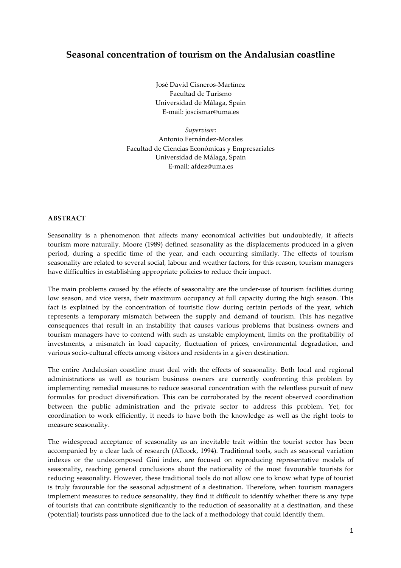## **Seasonal concentration of tourism on the Andalusian coastline**

José David Cisneros-Martínez Facultad!de!Turismo Universidad de Málaga, Spain E-mail: joscismar@uma.es

*Supervisor:* Antonio Fernández-Morales Facultad de Ciencias Económicas y Empresariales Universidad de Málaga, Spain E-mail: afdez@uma.es

## **ABSTRACT**

Seasonality is a phenomenon that affects many economical activities but undoubtedly, it affects tourism more naturally. Moore (1989) defined seasonality as the displacements produced in a given period, during a specific time of the year, and each occurring similarly. The effects of tourism seasonality are related to several social, labour and weather factors, for this reason, tourism managers have difficulties in establishing appropriate policies to reduce their impact.

The main problems caused by the effects of seasonality are the under-use of tourism facilities during low season, and vice versa, their maximum occupancy at full capacity during the high season. This fact is explained by the concentration of touristic flow during certain periods of the year, which represents a temporary mismatch between the supply and demand of tourism. This has negative consequences that result in an instability that causes various problems that business owners and tourism managers have to contend with such as unstable employment, limits on the profitability of investments, a mismatch in load capacity, fluctuation of prices, environmental degradation, and various socio-cultural effects among visitors and residents in a given destination.

The entire Andalusian coastline must deal with the effects of seasonality. Both local and regional administrations as well as tourism business owners are currently confronting this problem by implementing remedial measures to reduce seasonal concentration with the relentless pursuit of new formulas for product diversification. This can be corroborated by the recent observed coordination between the public administration and the private sector to address this problem. Yet, for coordination to work efficiently, it needs to have both the knowledge as well as the right tools to measure seasonality.

The widespread acceptance of seasonality as an inevitable trait within the tourist sector has been accompanied by a clear lack of research (Allcock, 1994). Traditional tools, such as seasonal variation indexes or the undecomposed Gini index, are focused on reproducing representative models of seasonality, reaching general conclusions about the nationality of the most favourable tourists for reducing seasonality. However, these traditional tools do not allow one to know what type of tourist is truly favourable for the seasonal adjustment of a destination. Therefore, when tourism managers implement measures to reduce seasonality, they find it difficult to identify whether there is any type of tourists that can contribute significantly to the reduction of seasonality at a destination, and these (potential) tourists pass unnoticed due to the lack of a methodology that could identify them.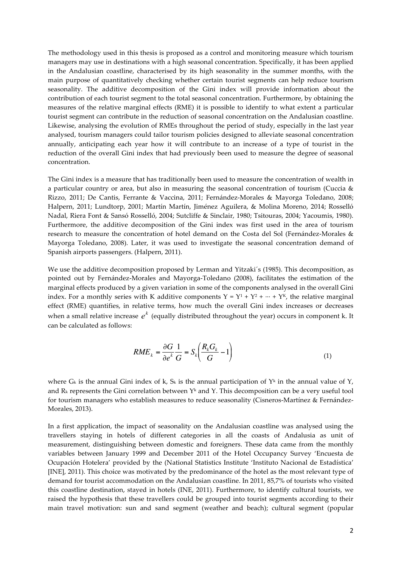The methodology used in this thesis is proposed as a control and monitoring measure which tourism managers may use in destinations with a high seasonal concentration. Specifically, it has been applied in the Andalusian coastline, characterised by its high seasonality in the summer months, with the main purpose of quantitatively checking whether certain tourist segments can help reduce tourism seasonality. The additive decomposition of the Gini index will provide information about the contribution of each tourist segment to the total seasonal concentration. Furthermore, by obtaining the measures of the relative marginal effects (RME) it is possible to identify to what extent a particular tourist segment can contribute in the reduction of seasonal concentration on the Andalusian coastline. Likewise, analysing the evolution of RMEs throughout the period of study, especially in the last year analysed, tourism managers could tailor tourism policies designed to alleviate seasonal concentration annually, anticipating each year how it will contribute to an increase of a type of tourist in the reduction of the overall Gini index that had previously been used to measure the degree of seasonal concentration.!

The Gini index is a measure that has traditionally been used to measure the concentration of wealth in a particular country or area, but also in measuring the seasonal concentration of tourism (Cuccia  $&$ Rizzo, 2011; De Cantis, Ferrante & Vaccina, 2011; Fernández-Morales & Mayorga Toledano, 2008; Halpern, 2011; Lundtorp, 2001; Martín Martín, Jiménez Aguilera, & Molina Moreno, 2014; Rosselló Nadal, Riera Font & Sansó Rosselló, 2004; Sutcliffe & Sinclair, 1980; Tsitouras, 2004; Yacoumis, 1980). Furthermore, the additive decomposition of the Gini index was first used in the area of tourism research to measure the concentration of hotel demand on the Costa del Sol (Fernández-Morales & Mayorga Toledano, 2008). Later, it was used to investigate the seasonal concentration demand of Spanish airports passengers. (Halpern, 2011).

We use the additive decomposition proposed by Lerman and Yitzaki's (1985). This decomposition, as pointed out by Fernández-Morales and Mayorga-Toledano (2008), facilitates the estimation of the marginal effects produced by a given variation in some of the components analysed in the overall Gini index. For a monthly series with K additive components  $Y = Y^1 + Y^2 + \cdots + Y^K$ , the relative marginal effect (RME) quantifies, in relative terms, how much the overall Gini index increases or decreases when a small relative increase  $e^{k}$  (equally distributed throughout the year) occurs in component k. It can be calculated as follows:

$$
RME_k = \frac{\partial G}{\partial e^k} \frac{1}{G} = S_k \left( \frac{R_k G_k}{G} - 1 \right) \tag{1}
$$

and  $R_k$  represents the Gini correlation between  $Y^k$  and Y. This decomposition can be a very useful tool where G<sub>k</sub> is the annual Gini index of k, S<sub>k</sub> is the annual participation of  $Y^k$  in the annual value of Y, for tourism managers who establish measures to reduce seasonality (Cisneros-Martínez & Fernández-Morales, 2013).

In a first application, the impact of seasonality on the Andalusian coastline was analysed using the travellers staying in hotels of different categories in all the coasts of Andalusia as unit of measurement, distinguishing between domestic and foreigners. These data came from the monthly variables between January 1999 and December 2011 of the Hotel Occupancy Survey 'Encuesta de Ocupación Hotelera' provided by the (National Statistics Institute 'Instituto Nacional de Estadística' [INE], 2011). This choice was motivated by the predominance of the hotel as the most relevant type of demand for tourist accommodation on the Andalusian coastline. In 2011, 85,7% of tourists who visited this coastline destination, stayed in hotels (INE, 2011). Furthermore, to identify cultural tourists, we raised the hypothesis that these travellers could be grouped into tourist segments according to their main travel motivation: sun and sand segment (weather and beach); cultural segment (popular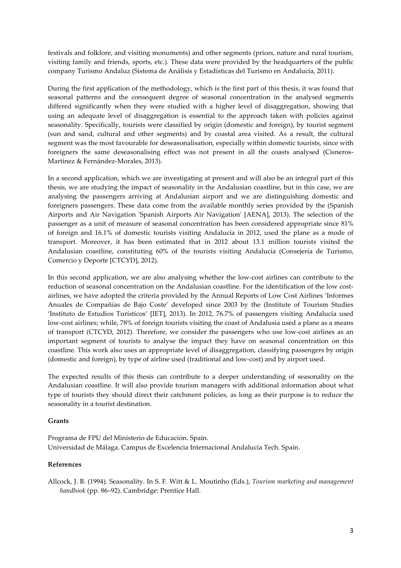festivals and folklore, and visiting monuments) and other segments (prices, nature and rural tourism, visiting family and friends, sports, etc.). These data were provided by the headquarters of the public company Turismo Andaluz (Sistema de Análisis y Estadísticas del Turismo en Andalucía, 2011).

During the first application of the methodology, which is the first part of this thesis, it was found that seasonal patterns and the consequent degree of seasonal concentration in the analysed segments differed significantly when they were studied with a higher level of disaggregation, showing that using an adequate level of disaggregation is essential to the approach taken with policies against seasonality. Specifically, tourists were classified by origin (domestic and foreign), by tourist segment (sun and sand, cultural and other segments) and by coastal area visited. As a result, the cultural segment was the most favourable for deseasonalisation, especially within domestic tourists, since with foreigners the same deseasonalising effect was not present in all the coasts analysed (Cisneros-Martínez & Fernández-Morales, 2013).

In a second application, which we are investigating at present and will also be an integral part of this thesis, we are studying the impact of seasonality in the Andalusian coastline, but in this case, we are analysing the passengers arriving at Andalusian airport and we are distinguishing domestic and foreigners passengers. These data come from the available monthly series provided by the (Spanish Airports and Air Navigation 'Spanish Airports Air Navigation' [AENA], 2013). The selection of the passenger as a unit of measure of seasonal concentration has been considered appropriate since 81% of foreign and 16.1% of domestic tourists visiting Andalucía in 2012, used the plane as a mode of transport. Moreover, it has been estimated that in 2012 about 13.1 million tourists visited the Andalusian coastline, constituting 60% of the tourists visiting Andalucía (Consejería de Turismo, Comercio y Deporte [CTCYD], 2012).

In this second application, we are also analysing whether the low-cost airlines can contribute to the reduction of seasonal concentration on the Andalusian coastline. For the identification of the low costairlines, we have adopted the criteria provided by the Annual Reports of Low Cost Airlines 'Informes Anuales de Compañías de Bajo Coste' developed since 2003 by the (Institute of Tourism Studies 'Instituto de Estudios Turísticos' [IET], 2013). In 2012, 76.7% of passengers visiting Andalucía used low-cost airlines; while, 78% of foreign tourists visiting the coast of Andalusia used a plane as a means of transport (CTCYD, 2012). Therefore, we consider the passengers who use low-cost airlines as an important segment of tourists to analyse the impact they have on seasonal concentration on this coastline. This work also uses an appropriate level of disaggregation, classifying passengers by origin (domestic and foreign), by type of airline used (traditional and low-cost) and by airport used.

The expected results of this thesis can contribute to a deeper understanding of seasonality on the Andalusian coastline. It will also provide tourism managers with additional information about what type of tourists they should direct their catchment policies, as long as their purpose is to reduce the seasonality in a tourist destination.

## **Grants**

Programa de FPU del Ministerio de Educación. Spain. Universidad de Málaga. Campus de Excelencia Internacional Andalucía Tech. Spain.

## **References(**

Allcock, J. B. (1994). Seasonality. In S. F. Witt & L. Moutinho (Eds.), *Tourism marketing and management* handbook (pp. 86–92). Cambridge: Prentice Hall.